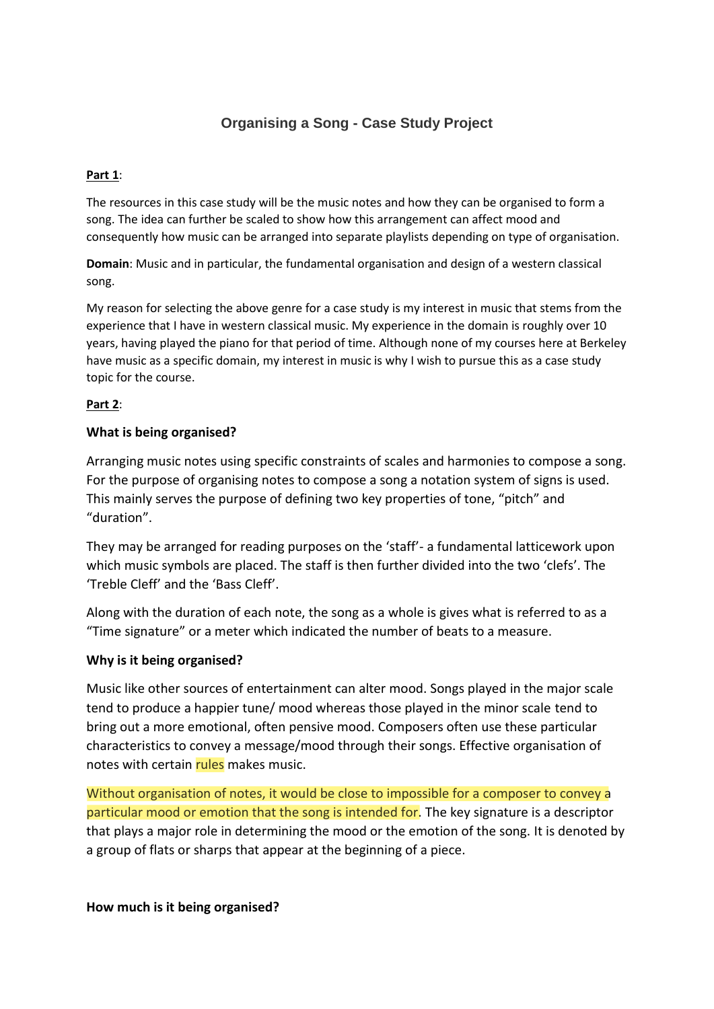# **Organising a Song - Case Study Project**

### **Part 1**:

The resources in this case study will be the music notes and how they can be organised to form a song. The idea can further be scaled to show how this arrangement can affect mood and consequently how music can be arranged into separate playlists depending on type of organisation.

**Domain**: Music and in particular, the fundamental organisation and design of a western classical song.

My reason for selecting the above genre for a case study is my interest in music that stems from the experience that I have in western classical music. My experience in the domain is roughly over 10 years, having played the piano for that period of time. Although none of my courses here at Berkeley have music as a specific domain, my interest in music is why I wish to pursue this as a case study topic for the course.

### **Part 2**:

### **What is being organised?**

Arranging music notes using specific constraints of scales and harmonies to compose a song. For the purpose of organising notes to compose a song a notation system of signs is used. This mainly serves the purpose of defining two key properties of tone, "pitch" and "duration".

They may be arranged for reading purposes on the 'staff'- a fundamental latticework upon which music symbols are placed. The staff is then further divided into the two 'clefs'. The 'Treble Cleff' and the 'Bass Cleff'.

Along with the duration of each note, the song as a whole is gives what is referred to as a "Time signature" or a meter which indicated the number of beats to a measure.

### **Why is it being organised?**

Music like other sources of entertainment can alter mood. Songs played in the major scale tend to produce a happier tune/ mood whereas those played in the minor scale tend to bring out a more emotional, often pensive mood. Composers often use these particular characteristics to convey a message/mood through their songs. Effective organisation of notes with certain rules makes music.

Without organisation of notes, it would be close to impossible for a composer to convey a particular mood or emotion that the song is intended for. The key signature is a descriptor that plays a major role in determining the mood or the emotion of the song. It is denoted by a group of flats or sharps that appear at the beginning of a piece.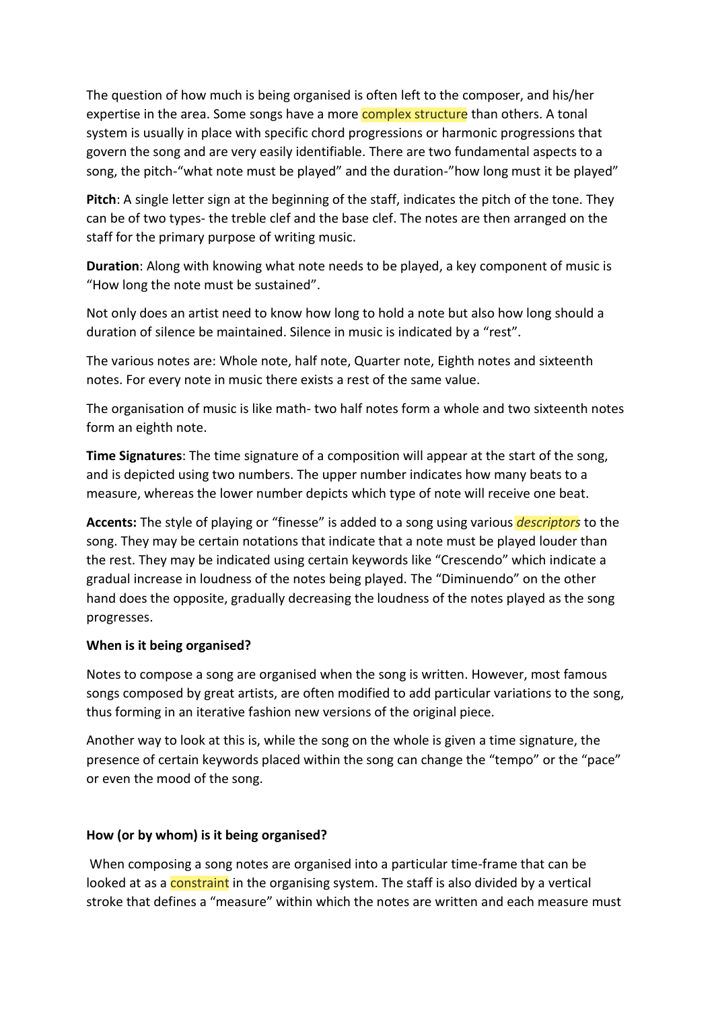The question of how much is being organised is often left to the composer, and his/her expertise in the area. Some songs have a more **complex structure** than others. A tonal system is usually in place with specific chord progressions or harmonic progressions that govern the song and are very easily identifiable. There are two fundamental aspects to a song, the pitch-"what note must be played" and the duration-"how long must it be played"

**Pitch**: A single letter sign at the beginning of the staff, indicates the pitch of the tone. They can be of two types- the treble clef and the base clef. The notes are then arranged on the staff for the primary purpose of writing music.

**Duration**: Along with knowing what note needs to be played, a key component of music is "How long the note must be sustained".

Not only does an artist need to know how long to hold a note but also how long should a duration of silence be maintained. Silence in music is indicated by a "rest".

The various notes are: Whole note, half note, Quarter note, Eighth notes and sixteenth notes. For every note in music there exists a rest of the same value.

The organisation of music is like math- two half notes form a whole and two sixteenth notes form an eighth note.

**Time Signatures**: The time signature of a composition will appear at the start of the song, and is depicted using two numbers. The upper number indicates how many beats to a measure, whereas the lower number depicts which type of note will receive one beat.

**Accents:** The style of playing or "finesse" is added to a song using various *descriptors* to the song. They may be certain notations that indicate that a note must be played louder than the rest. They may be indicated using certain keywords like "Crescendo" which indicate a gradual increase in loudness of the notes being played. The "Diminuendo" on the other hand does the opposite, gradually decreasing the loudness of the notes played as the song progresses.

# **When is it being organised?**

Notes to compose a song are organised when the song is written. However, most famous songs composed by great artists, are often modified to add particular variations to the song, thus forming in an iterative fashion new versions of the original piece.

Another way to look at this is, while the song on the whole is given a time signature, the presence of certain keywords placed within the song can change the "tempo" or the "pace" or even the mood of the song.

# **How (or by whom) is it being organised?**

When composing a song notes are organised into a particular time-frame that can be looked at as a constraint in the organising system. The staff is also divided by a vertical stroke that defines a "measure" within which the notes are written and each measure must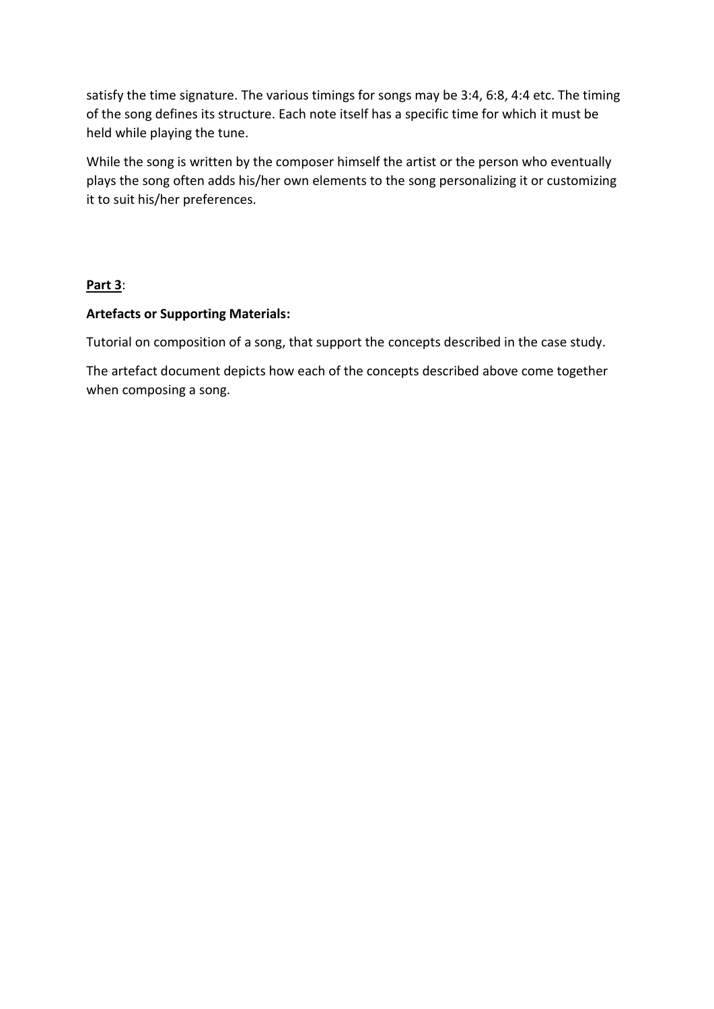satisfy the time signature. The various timings for songs may be 3:4, 6:8, 4:4 etc. The timing of the song defines its structure. Each note itself has a specific time for which it must be held while playing the tune.

While the song is written by the composer himself the artist or the person who eventually plays the song often adds his/her own elements to the song personalizing it or customizing it to suit his/her preferences.

# **Part 3**:

# **Artefacts or Supporting Materials:**

Tutorial on composition of a song, that support the concepts described in the case study.

The artefact document depicts how each of the concepts described above come together when composing a song.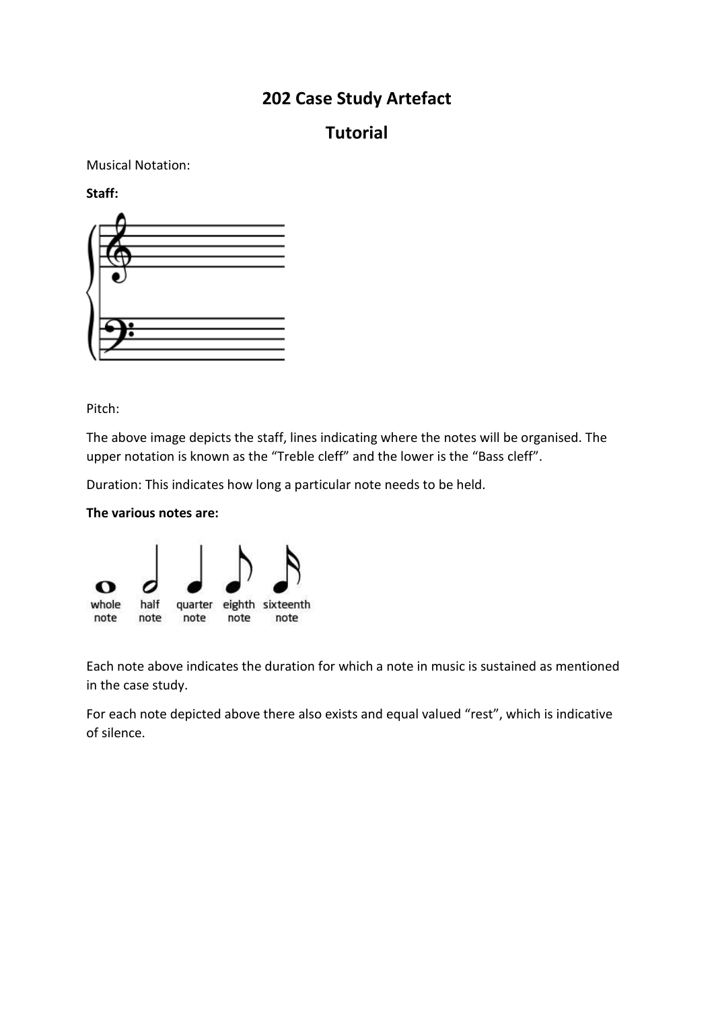# **202 Case Study Artefact**

# **Tutorial**

Musical Notation:

**Staff:**



Pitch:

The above image depicts the staff, lines indicating where the notes will be organised. The upper notation is known as the "Treble cleff" and the lower is the "Bass cleff".

Duration: This indicates how long a particular note needs to be held.





Each note above indicates the duration for which a note in music is sustained as mentioned in the case study.

For each note depicted above there also exists and equal valued "rest", which is indicative of silence.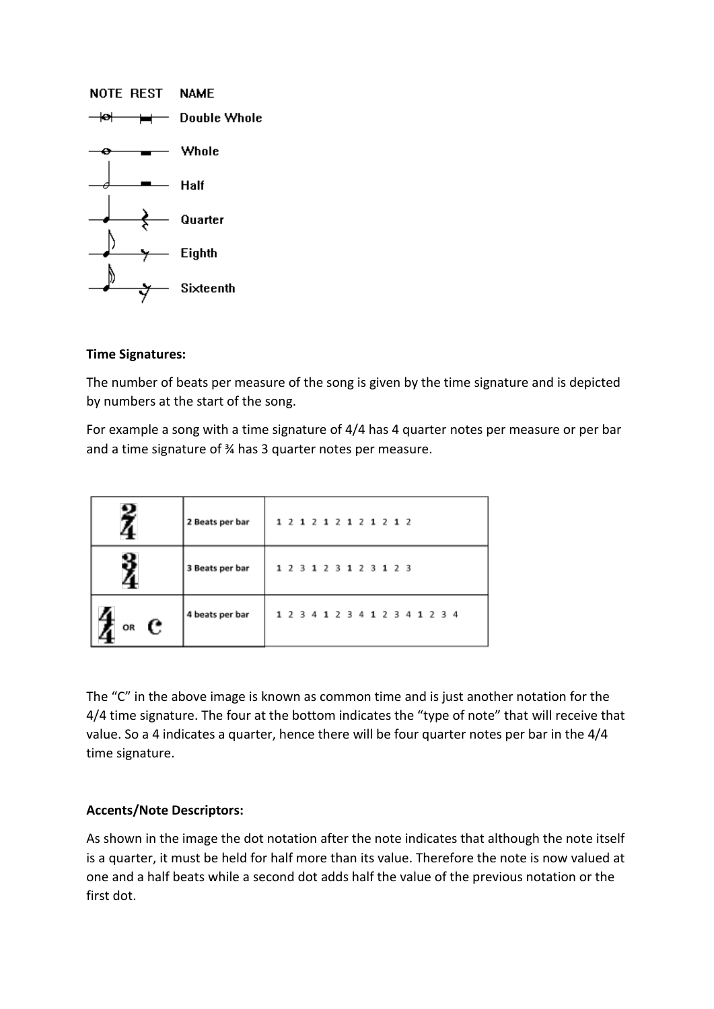

### **Time Signatures:**

The number of beats per measure of the song is given by the time signature and is depicted by numbers at the start of the song.

For example a song with a time signature of 4/4 has 4 quarter notes per measure or per bar and a time signature of ¾ has 3 quarter notes per measure.

|                | 2 Beats per bar |  |  | 1 2 1 2 1 2 1 2 1 2 1 2 |  |  |  |  |                                 |  |  |
|----------------|-----------------|--|--|-------------------------|--|--|--|--|---------------------------------|--|--|
|                | 3 Beats per bar |  |  | 1 2 3 1 2 3 1 2 3 1 2 3 |  |  |  |  |                                 |  |  |
| OR $\mathbf c$ | 4 beats per bar |  |  |                         |  |  |  |  | 1 2 3 4 1 2 3 4 1 2 3 4 1 2 3 4 |  |  |

The "C" in the above image is known as common time and is just another notation for the 4/4 time signature. The four at the bottom indicates the "type of note" that will receive that value. So a 4 indicates a quarter, hence there will be four quarter notes per bar in the 4/4 time signature.

# **Accents/Note Descriptors:**

As shown in the image the dot notation after the note indicates that although the note itself is a quarter, it must be held for half more than its value. Therefore the note is now valued at one and a half beats while a second dot adds half the value of the previous notation or the first dot.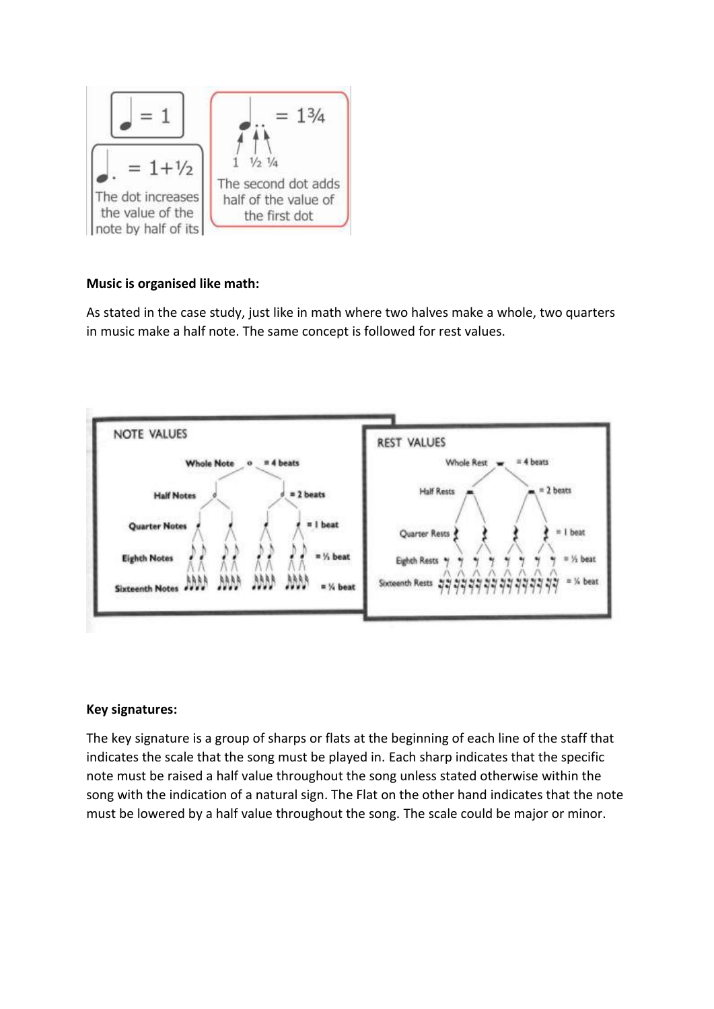

# **Music is organised like math:**

As stated in the case study, just like in math where two halves make a whole, two quarters in music make a half note. The same concept is followed for rest values.



# **Key signatures:**

The key signature is a group of sharps or flats at the beginning of each line of the staff that indicates the scale that the song must be played in. Each sharp indicates that the specific note must be raised a half value throughout the song unless stated otherwise within the song with the indication of a natural sign. The Flat on the other hand indicates that the note must be lowered by a half value throughout the song. The scale could be major or minor.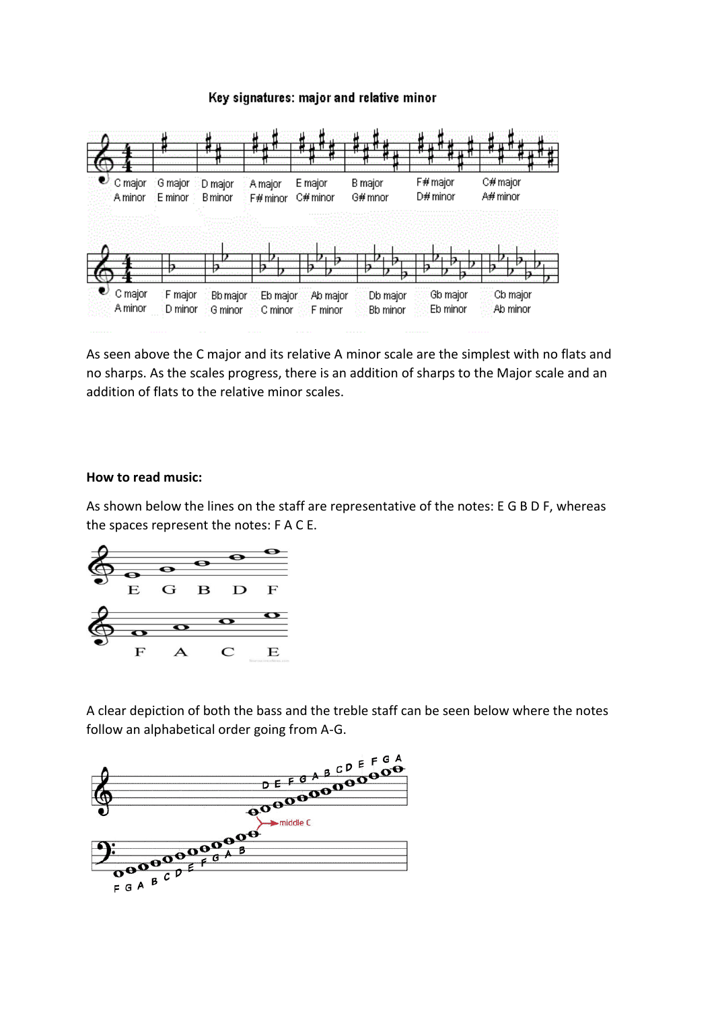### Key signatures: major and relative minor



As seen above the C major and its relative A minor scale are the simplest with no flats and no sharps. As the scales progress, there is an addition of sharps to the Major scale and an addition of flats to the relative minor scales.

#### **How to read music:**

As shown below the lines on the staff are representative of the notes: E G B D F, whereas the spaces represent the notes: F A C E.



A clear depiction of both the bass and the treble staff can be seen below where the notes follow an alphabetical order going from A-G.